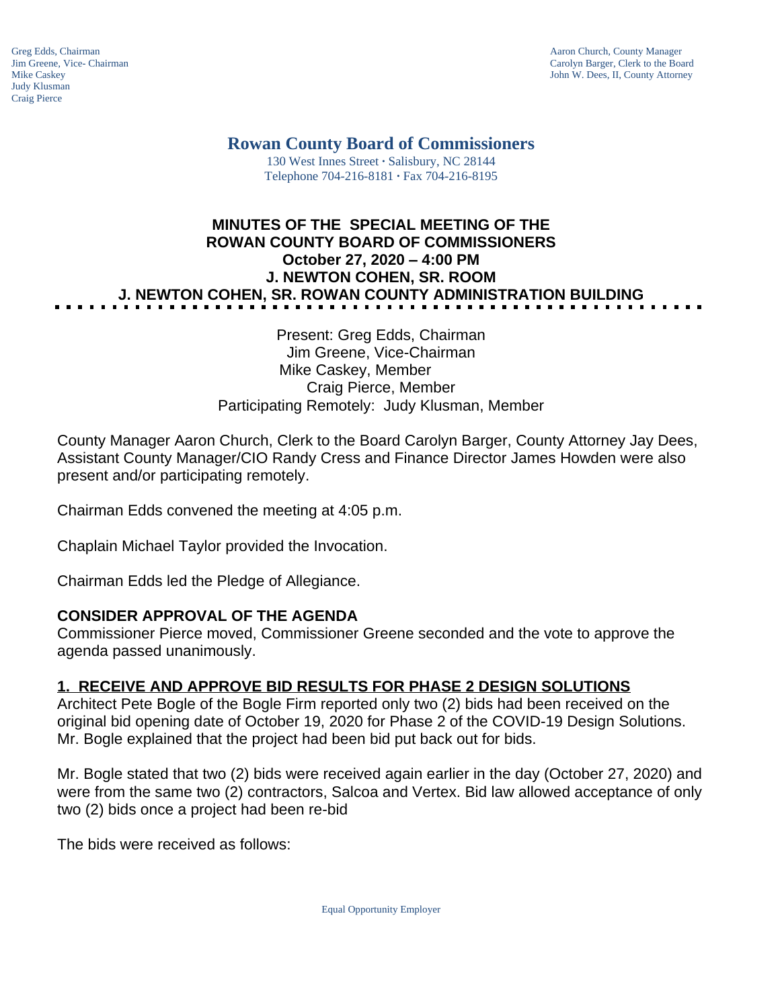Judy Klusman Craig Pierce

Greg Edds, Chairman Aaron Church, County Manager<br>
Jim Greene, Vice- Chairman Aaron Church, County Manager<br>
Carolyn Barger, Clerk to the Boa Jim Greene, Vice- Chairman Carolyn Barger, Clerk to the Board John W. Dees, II, County Attorney

# **Rowan County Board of Commissioners**

130 West Innes Street **∙** Salisbury, NC 28144 Telephone 704-216-8181 **∙** Fax 704-216-8195

## **MINUTES OF THE SPECIAL MEETING OF THE ROWAN COUNTY BOARD OF COMMISSIONERS October 27, 2020 – 4:00 PM J. NEWTON COHEN, SR. ROOM J. NEWTON COHEN, SR. ROWAN COUNTY ADMINISTRATION BUILDING**

Present: Greg Edds, Chairman Jim Greene, Vice-Chairman Mike Caskey, Member Craig Pierce, Member Participating Remotely: Judy Klusman, Member

County Manager Aaron Church, Clerk to the Board Carolyn Barger, County Attorney Jay Dees, Assistant County Manager/CIO Randy Cress and Finance Director James Howden were also present and/or participating remotely.

Chairman Edds convened the meeting at 4:05 p.m.

Chaplain Michael Taylor provided the Invocation.

Chairman Edds led the Pledge of Allegiance.

### **CONSIDER APPROVAL OF THE AGENDA**

Commissioner Pierce moved, Commissioner Greene seconded and the vote to approve the agenda passed unanimously.

### **1. RECEIVE AND APPROVE BID RESULTS FOR PHASE 2 DESIGN SOLUTIONS**

Architect Pete Bogle of the Bogle Firm reported only two (2) bids had been received on the original bid opening date of October 19, 2020 for Phase 2 of the COVID-19 Design Solutions. Mr. Bogle explained that the project had been bid put back out for bids.

Mr. Bogle stated that two (2) bids were received again earlier in the day (October 27, 2020) and were from the same two (2) contractors, Salcoa and Vertex. Bid law allowed acceptance of only two (2) bids once a project had been re-bid

The bids were received as follows:

Equal Opportunity Employer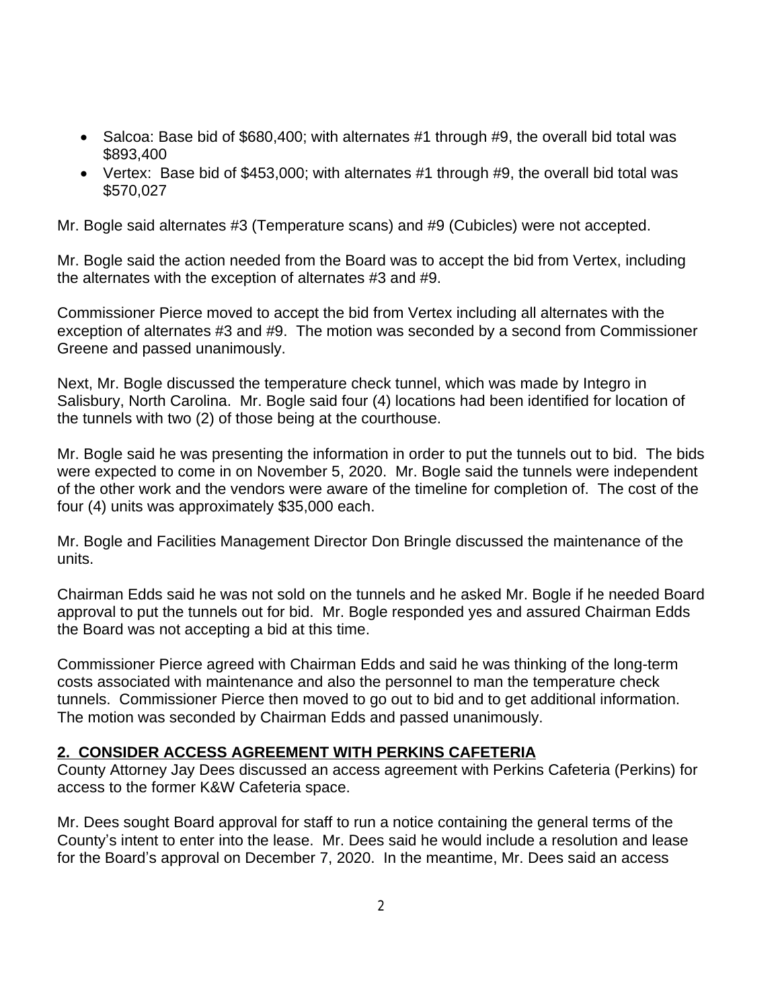- Salcoa: Base bid of \$680,400; with alternates #1 through #9, the overall bid total was \$893,400
- Vertex: Base bid of \$453,000; with alternates  $#1$  through  $#9$ , the overall bid total was \$570,027

Mr. Bogle said alternates #3 (Temperature scans) and #9 (Cubicles) were not accepted.

Mr. Bogle said the action needed from the Board was to accept the bid from Vertex, including the alternates with the exception of alternates #3 and #9.

Commissioner Pierce moved to accept the bid from Vertex including all alternates with the exception of alternates #3 and #9. The motion was seconded by a second from Commissioner Greene and passed unanimously.

Next, Mr. Bogle discussed the temperature check tunnel, which was made by Integro in Salisbury, North Carolina. Mr. Bogle said four (4) locations had been identified for location of the tunnels with two (2) of those being at the courthouse.

Mr. Bogle said he was presenting the information in order to put the tunnels out to bid. The bids were expected to come in on November 5, 2020. Mr. Bogle said the tunnels were independent of the other work and the vendors were aware of the timeline for completion of. The cost of the four (4) units was approximately \$35,000 each.

Mr. Bogle and Facilities Management Director Don Bringle discussed the maintenance of the units.

Chairman Edds said he was not sold on the tunnels and he asked Mr. Bogle if he needed Board approval to put the tunnels out for bid. Mr. Bogle responded yes and assured Chairman Edds the Board was not accepting a bid at this time.

Commissioner Pierce agreed with Chairman Edds and said he was thinking of the long-term costs associated with maintenance and also the personnel to man the temperature check tunnels. Commissioner Pierce then moved to go out to bid and to get additional information. The motion was seconded by Chairman Edds and passed unanimously.

### **2. CONSIDER ACCESS AGREEMENT WITH PERKINS CAFETERIA**

County Attorney Jay Dees discussed an access agreement with Perkins Cafeteria (Perkins) for access to the former K&W Cafeteria space.

Mr. Dees sought Board approval for staff to run a notice containing the general terms of the County's intent to enter into the lease. Mr. Dees said he would include a resolution and lease for the Board's approval on December 7, 2020. In the meantime, Mr. Dees said an access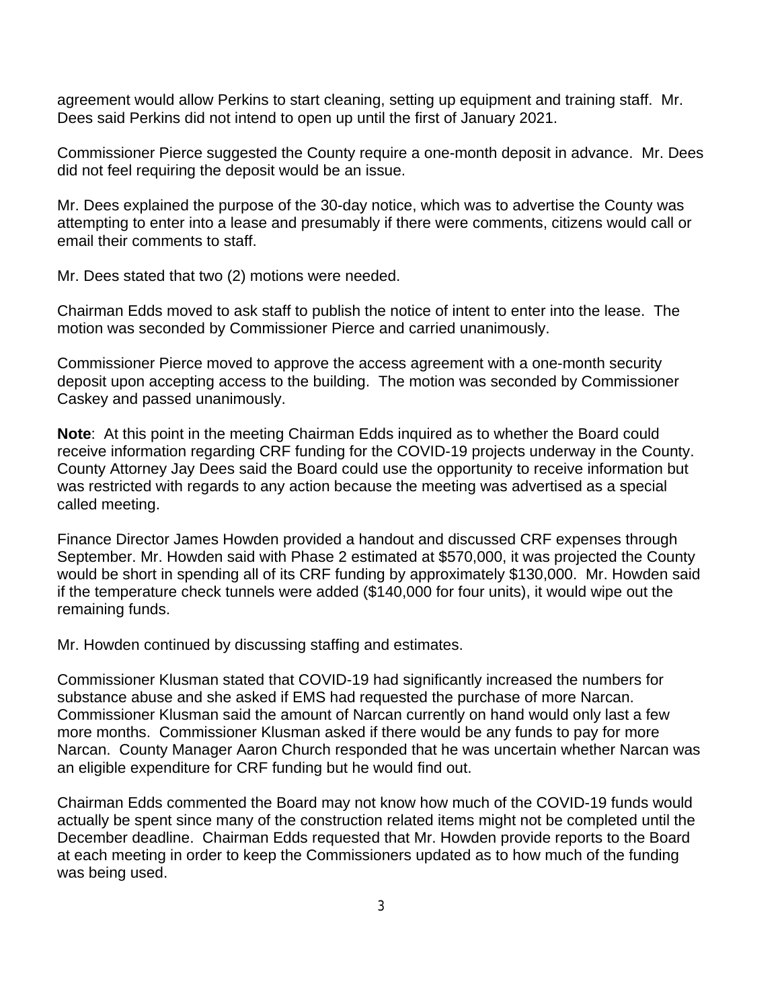agreement would allow Perkins to start cleaning, setting up equipment and training staff. Mr. Dees said Perkins did not intend to open up until the first of January 2021.

Commissioner Pierce suggested the County require a one-month deposit in advance. Mr. Dees did not feel requiring the deposit would be an issue.

Mr. Dees explained the purpose of the 30-day notice, which was to advertise the County was attempting to enter into a lease and presumably if there were comments, citizens would call or email their comments to staff.

Mr. Dees stated that two (2) motions were needed.

Chairman Edds moved to ask staff to publish the notice of intent to enter into the lease. The motion was seconded by Commissioner Pierce and carried unanimously.

Commissioner Pierce moved to approve the access agreement with a one-month security deposit upon accepting access to the building. The motion was seconded by Commissioner Caskey and passed unanimously.

**Note**: At this point in the meeting Chairman Edds inquired as to whether the Board could receive information regarding CRF funding for the COVID-19 projects underway in the County. County Attorney Jay Dees said the Board could use the opportunity to receive information but was restricted with regards to any action because the meeting was advertised as a special called meeting.

Finance Director James Howden provided a handout and discussed CRF expenses through September. Mr. Howden said with Phase 2 estimated at \$570,000, it was projected the County would be short in spending all of its CRF funding by approximately \$130,000. Mr. Howden said if the temperature check tunnels were added (\$140,000 for four units), it would wipe out the remaining funds.

Mr. Howden continued by discussing staffing and estimates.

Commissioner Klusman stated that COVID-19 had significantly increased the numbers for substance abuse and she asked if EMS had requested the purchase of more Narcan. Commissioner Klusman said the amount of Narcan currently on hand would only last a few more months. Commissioner Klusman asked if there would be any funds to pay for more Narcan. County Manager Aaron Church responded that he was uncertain whether Narcan was an eligible expenditure for CRF funding but he would find out.

Chairman Edds commented the Board may not know how much of the COVID-19 funds would actually be spent since many of the construction related items might not be completed until the December deadline. Chairman Edds requested that Mr. Howden provide reports to the Board at each meeting in order to keep the Commissioners updated as to how much of the funding was being used.